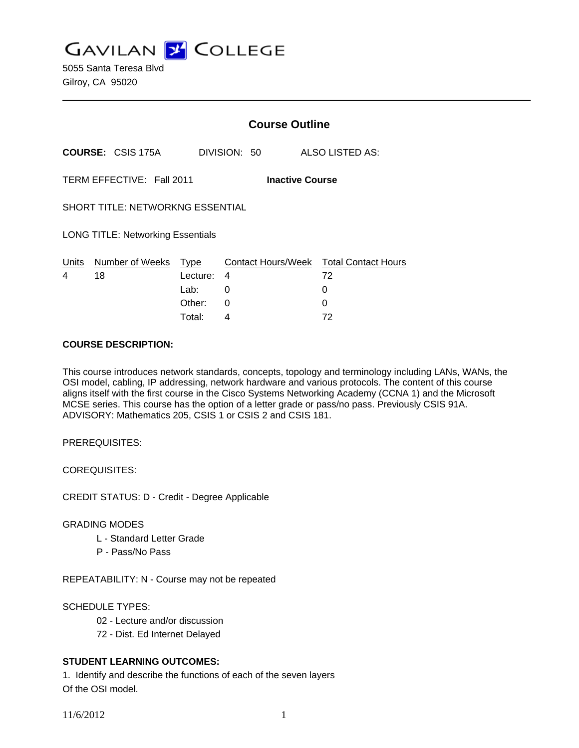**GAVILAN J COLLEGE** 

5055 Santa Teresa Blvd Gilroy, CA 95020

|                                                     |                          |                         | <b>Course Outline</b> |                                              |  |
|-----------------------------------------------------|--------------------------|-------------------------|-----------------------|----------------------------------------------|--|
|                                                     | <b>COURSE: CSIS 175A</b> |                         | DIVISION: 50          | ALSO LISTED AS:                              |  |
| TERM EFFECTIVE: Fall 2011<br><b>Inactive Course</b> |                          |                         |                       |                                              |  |
| <b>SHORT TITLE: NETWORKNG ESSENTIAL</b>             |                          |                         |                       |                                              |  |
| <b>LONG TITLE: Networking Essentials</b>            |                          |                         |                       |                                              |  |
| <u>Un</u> its<br>4                                  | Number of Weeks<br>18    | <u>Type</u><br>Lecture: | 4                     | Contact Hours/Week Total Contact Hours<br>72 |  |
|                                                     |                          | Lab:                    | 0                     | 0                                            |  |
|                                                     |                          | Other:                  | $\Omega$              | 0                                            |  |
|                                                     |                          | Total:                  | 4                     | 72                                           |  |

#### **COURSE DESCRIPTION:**

This course introduces network standards, concepts, topology and terminology including LANs, WANs, the OSI model, cabling, IP addressing, network hardware and various protocols. The content of this course aligns itself with the first course in the Cisco Systems Networking Academy (CCNA 1) and the Microsoft MCSE series. This course has the option of a letter grade or pass/no pass. Previously CSIS 91A. ADVISORY: Mathematics 205, CSIS 1 or CSIS 2 and CSIS 181.

PREREQUISITES:

COREQUISITES:

CREDIT STATUS: D - Credit - Degree Applicable

### GRADING MODES

- L Standard Letter Grade
- P Pass/No Pass

REPEATABILITY: N - Course may not be repeated

### SCHEDULE TYPES:

- 02 Lecture and/or discussion
- 72 Dist. Ed Internet Delayed

## **STUDENT LEARNING OUTCOMES:**

1. Identify and describe the functions of each of the seven layers Of the OSI model.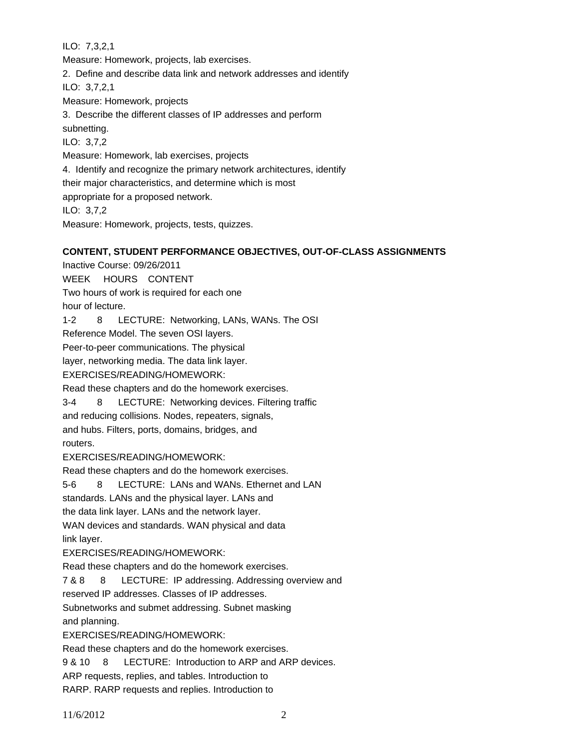ILO: 7,3,2,1 Measure: Homework, projects, lab exercises. 2. Define and describe data link and network addresses and identify ILO: 3,7,2,1 Measure: Homework, projects 3. Describe the different classes of IP addresses and perform subnetting. ILO: 3,7,2 Measure: Homework, lab exercises, projects 4. Identify and recognize the primary network architectures, identify their major characteristics, and determine which is most appropriate for a proposed network. ILO: 3,7,2 Measure: Homework, projects, tests, quizzes.

# **CONTENT, STUDENT PERFORMANCE OBJECTIVES, OUT-OF-CLASS ASSIGNMENTS**

Inactive Course: 09/26/2011 WEEK HOURS CONTENT Two hours of work is required for each one hour of lecture. 1-2 8 LECTURE: Networking, LANs, WANs. The OSI Reference Model. The seven OSI layers. Peer-to-peer communications. The physical layer, networking media. The data link layer. EXERCISES/READING/HOMEWORK: Read these chapters and do the homework exercises. 3-4 8 LECTURE: Networking devices. Filtering traffic and reducing collisions. Nodes, repeaters, signals, and hubs. Filters, ports, domains, bridges, and routers. EXERCISES/READING/HOMEWORK: Read these chapters and do the homework exercises. 5-6 8 LECTURE: LANs and WANs. Ethernet and LAN standards. LANs and the physical layer. LANs and the data link layer. LANs and the network layer. WAN devices and standards. WAN physical and data link layer. EXERCISES/READING/HOMEWORK: Read these chapters and do the homework exercises. 7 & 8 8 LECTURE: IP addressing. Addressing overview and reserved IP addresses. Classes of IP addresses. Subnetworks and submet addressing. Subnet masking and planning. EXERCISES/READING/HOMEWORK: Read these chapters and do the homework exercises. 9 & 10 8 LECTURE: Introduction to ARP and ARP devices. ARP requests, replies, and tables. Introduction to RARP. RARP requests and replies. Introduction to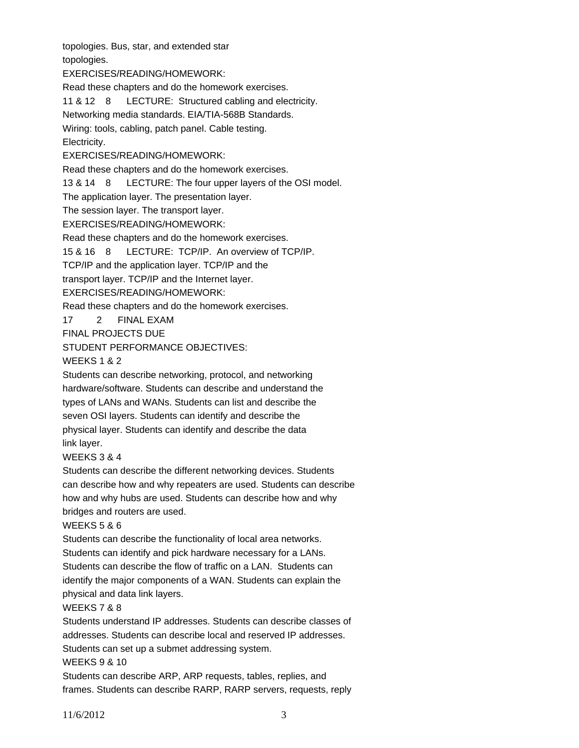topologies. Bus, star, and extended star

topologies.

EXERCISES/READING/HOMEWORK:

Read these chapters and do the homework exercises.

11 & 12 8 LECTURE: Structured cabling and electricity.

Networking media standards. EIA/TIA-568B Standards.

Wiring: tools, cabling, patch panel. Cable testing.

### Electricity.

EXERCISES/READING/HOMEWORK:

Read these chapters and do the homework exercises.

13 & 14 8 LECTURE: The four upper layers of the OSI model.

The application layer. The presentation layer.

The session layer. The transport layer.

EXERCISES/READING/HOMEWORK:

Read these chapters and do the homework exercises.

15 & 16 8 LECTURE: TCP/IP. An overview of TCP/IP.

TCP/IP and the application layer. TCP/IP and the

transport layer. TCP/IP and the Internet layer.

EXERCISES/READING/HOMEWORK:

Read these chapters and do the homework exercises.

17 2 FINAL EXAM

FINAL PROJECTS DUE

STUDENT PERFORMANCE OBJECTIVES:

WEEKS 1 & 2

Students can describe networking, protocol, and networking hardware/software. Students can describe and understand the types of LANs and WANs. Students can list and describe the seven OSI layers. Students can identify and describe the physical layer. Students can identify and describe the data link layer.

### WEEKS 3 & 4

Students can describe the different networking devices. Students can describe how and why repeaters are used. Students can describe how and why hubs are used. Students can describe how and why bridges and routers are used.

### WEEKS 5 & 6

Students can describe the functionality of local area networks. Students can identify and pick hardware necessary for a LANs. Students can describe the flow of traffic on a LAN. Students can identify the major components of a WAN. Students can explain the physical and data link layers.

# WEEKS 7 & 8

Students understand IP addresses. Students can describe classes of addresses. Students can describe local and reserved IP addresses. Students can set up a submet addressing system.

### WEEKS 9 & 10

Students can describe ARP, ARP requests, tables, replies, and frames. Students can describe RARP, RARP servers, requests, reply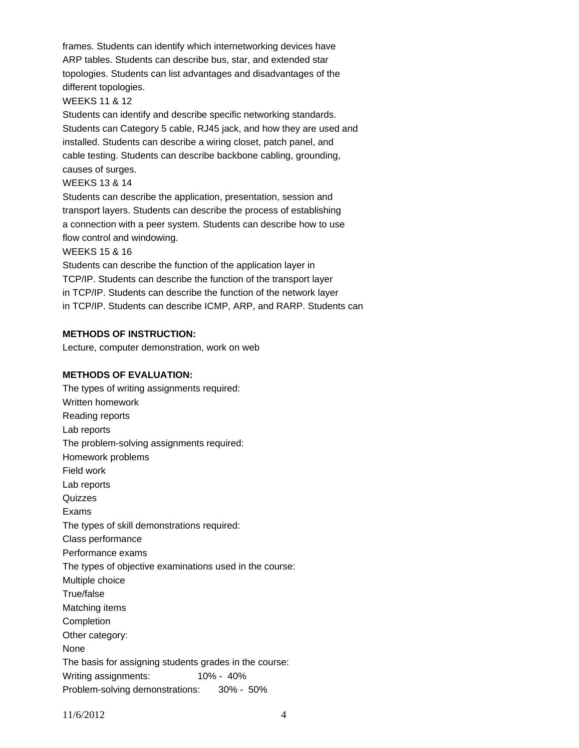frames. Students can identify which internetworking devices have ARP tables. Students can describe bus, star, and extended star topologies. Students can list advantages and disadvantages of the different topologies.

#### WEEKS 11 & 12

Students can identify and describe specific networking standards. Students can Category 5 cable, RJ45 jack, and how they are used and installed. Students can describe a wiring closet, patch panel, and cable testing. Students can describe backbone cabling, grounding, causes of surges.

#### WEEKS 13 & 14

Students can describe the application, presentation, session and transport layers. Students can describe the process of establishing a connection with a peer system. Students can describe how to use flow control and windowing.

#### WEEKS 15 & 16

Students can describe the function of the application layer in TCP/IP. Students can describe the function of the transport layer in TCP/IP. Students can describe the function of the network layer in TCP/IP. Students can describe ICMP, ARP, and RARP. Students can

#### **METHODS OF INSTRUCTION:**

Lecture, computer demonstration, work on web

#### **METHODS OF EVALUATION:**

The types of writing assignments required: Written homework Reading reports Lab reports The problem-solving assignments required: Homework problems Field work Lab reports **Quizzes** Exams The types of skill demonstrations required: Class performance Performance exams The types of objective examinations used in the course: Multiple choice True/false Matching items **Completion** Other category: None The basis for assigning students grades in the course: Writing assignments: 10% - 40% Problem-solving demonstrations: 30% - 50%